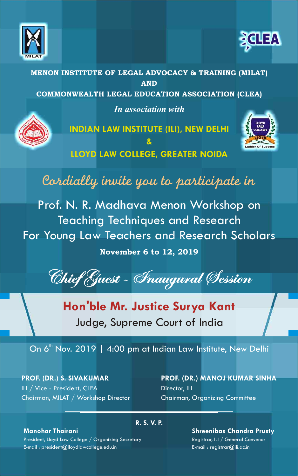



MENON INSTITUTE OF LEGAL ADVOCACY & TRAINING (MILAT) AND COMMONWEALTH LEGAL EDUCATION ASSOCIATION (CLEA) *In association with*



**INDIAN LAW INSTITUTE (ILI), NEW DELHI & LLOYD LAW COLLEGE, GREATER NOIDA**



Cordially invite you to participate in

Prof. N. R. Madhava Menon Workshop on Teaching Techniques and Research For Young Law Teachers and Research Scholars

## November 6 to 12, 2019

Chief Guest - Inaugural Session

**Hon'ble Mr. Justice Surya Kant** Judge, Supreme Court of India

On  $6<sup>th</sup>$  Nov. 2019 | 4:00 pm at Indian Law Institute, New Delhi

**PROF. (DR.) S. SIVAKUMAR** ILI / Vice - President, CLEA Chairman, MILAT / Workshop Director **PROF. (DR.) MANOJ KUMAR SINHA** Director, ILI Chairman, Organizing Committee

## **Manohar Thairani**

President, Lloyd Law College / Organizing Secretary E-mail : president@lloydlawcollege.edu.in

## **R. S. V. P.**

**Shreenibas Chandra Prusty** Registrar, ILI / General Convenor

E-mail : registrar@ili.ac.in